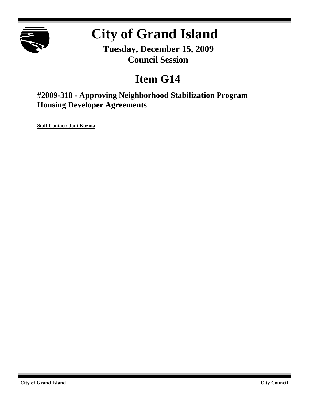

# **City of Grand Island**

**Tuesday, December 15, 2009 Council Session**

## **Item G14**

**#2009-318 - Approving Neighborhood Stabilization Program Housing Developer Agreements**

**Staff Contact: Joni Kuzma**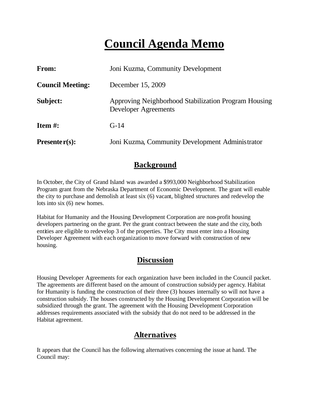## **Council Agenda Memo**

| <b>From:</b>            | Joni Kuzma, Community Development                                                   |
|-------------------------|-------------------------------------------------------------------------------------|
| <b>Council Meeting:</b> | December 15, 2009                                                                   |
| Subject:                | Approving Neighborhood Stabilization Program Housing<br><b>Developer Agreements</b> |
| Item $#$ :              | $G-14$                                                                              |
| Presenter $(s)$ :       | Joni Kuzma, Community Development Administrator                                     |

## **Background**

In October, the City of Grand Island was awarded a \$993,000 Neighborhood Stabilization Program grant from the Nebraska Department of Economic Development. The grant will enable the city to purchase and demolish at least six (6) vacant, blighted structures and redevelop the lots into six (6) new homes.

Habitat for Humanity and the Housing Development Corporation are non-profit housing developers partnering on the grant. Per the grant contract between the state and the city, both entities are eligible to redevelop 3 of the properties. The City must enter into a Housing Developer Agreement with each organization to move forward with construction of new housing.

## **Discussion**

Housing Developer Agreements for each organization have been included in the Council packet. The agreements are different based on the amount of construction subsidy per agency. Habitat for Humanity is funding the construction of their three (3) houses internally so will not have a construction subsidy. The houses constructed by the Housing Development Corporation will be subsidized through the grant. The agreement with the Housing Development Corporation addresses requirements associated with the subsidy that do not need to be addressed in the Habitat agreement.

### **Alternatives**

It appears that the Council has the following alternatives concerning the issue at hand. The Council may: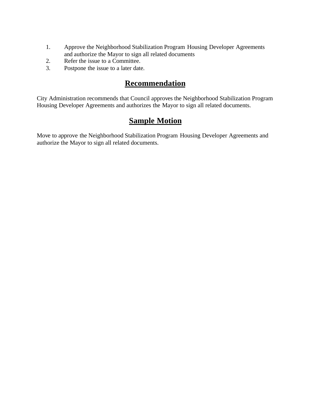- 1. Approve the Neighborhood Stabilization Program Housing Developer Agreements and authorize the Mayor to sign all related documents
- 2. Refer the issue to a Committee.
- 3. Postpone the issue to a later date.

## **Recommendation**

City Administration recommends that Council approves the Neighborhood Stabilization Program Housing Developer Agreements and authorizes the Mayor to sign all related documents.

## **Sample Motion**

Move to approve the Neighborhood Stabilization Program Housing Developer Agreements and authorize the Mayor to sign all related documents.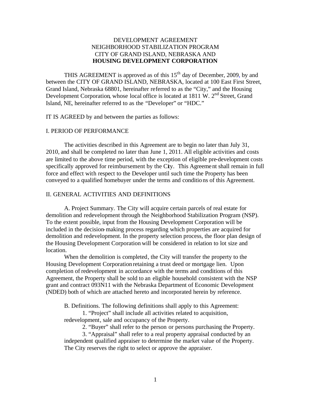#### DEVELOPMENT AGREEMENT NEIGHBORHOOD STABILIZATION PROGRAM CITY OF GRAND ISLAND, NEBRASKA AND **HOUSING DEVELOPMENT CORPORATION**

THIS AGREEMENT is approved as of this  $15<sup>th</sup>$  day of December, 2009, by and between the CITY OF GRAND ISLAND, NEBRASKA, located at 100 East First Street, Grand Island, Nebraska 68801, hereinafter referred to as the "City," and the Housing Development Corporation, whose local office is located at 1811 W. 2<sup>nd</sup> Street, Grand Island, NE, hereinafter referred to as the "Developer" or "HDC."

IT IS AGREED by and between the parties as follows:

#### I. PERIOD OF PERFORMANCE

The activities described in this Agreement are to begin no later than July 31, 2010, and shall be completed no later than June 1, 2011. All eligible activities and costs are limited to the above time period, with the exception of eligible pre-development costs specifically approved for reimbursement by the City. This Agreement shall remain in full force and effect with respect to the Developer until such time the Property has been conveyed to a qualified homebuyer under the terms and conditions of this Agreement.

#### II. GENERAL ACTIVITIES AND DEFINITIONS

A. Project Summary. The City will acquire certain parcels of real estate for demolition and redevelopment through the Neighborhood Stabilization Program (NSP). To the extent possible, input from the Housing Development Corporation will be included in the decision-making process regarding which properties are acquired for demolition and redevelopment. In the property selection process, the floor plan design of the Housing Development Corporation will be considered in relation to lot size and location.

When the demolition is completed, the City will transfer the property to the Housing Development Corporation retaining a trust deed or mortgage lien. Upon completion of redevelopment in accordance with the terms and conditions of this Agreement, the Property shall be sold to an eligible household consistent with the NSP grant and contract 093N11 with the Nebraska Department of Economic Development (NDED) both of which are attached hereto and incorporated herein by reference.

B. Definitions. The following definitions shall apply to this Agreement:

- 1. "Project" shall include all activities related to acquisition,
- redevelopment, sale and occupancy of the Property.

2. "Buyer" shall refer to the person or persons purchasing the Property.

3. "Appraisal" shall refer to a real property appraisal conducted by an independent qualified appraiser to determine the market value of the Property. The City reserves the right to select or approve the appraiser.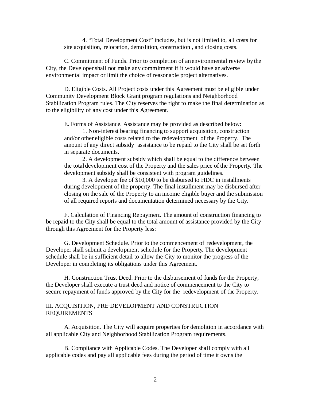4. "Total Development Cost" includes, but is not limited to, all costs for site acquisition, relocation, demolition, construction , and closing costs.

C. Commitment of Funds. Prior to completion of an environmental review by the City, the Developer shall not make any commitment if it would have an adverse environmental impact or limit the choice of reasonable project alternatives.

D. Eligible Costs. All Project costs under this Agreement must be eligible under Community Development Block Grant program regulations and Neighborhood Stabilization Program rules. The City reserves the right to make the final determination as to the eligibility of any cost under this Agreement.

E. Forms of Assistance. Assistance may be provided as described below:

1. Non-interest bearing financing to support acquisition, construction and/or other eligible costs related to the redevelopment of the Property. The amount of any direct subsidy assistance to be repaid to the City shall be set forth in separate documents.

2. A development subsidy which shall be equal to the difference between the total development cost of the Property and the sales price of the Property. The development subsidy shall be consistent with program guidelines.

3. A developer fee of \$10,000 to be disbursed to HDC in installments during development of the property. The final installment may be disbursed after closing on the sale of the Property to an income eligible buyer and the submission of all required reports and documentation determined necessary by the City.

F. Calculation of Financing Repayment. The amount of construction financing to be repaid to the City shall be equal to the total amount of assistance provided by the City through this Agreement for the Property less:

G. Development Schedule. Prior to the commencement of redevelopment, the Developershall submit a development schedule for the Property. The development schedule shall be in sufficient detail to allow the City to monitor the progress of the Developer in completing its obligations under this Agreement.

H. Construction Trust Deed. Prior to the disbursement of funds for the Property, the Developer shall execute a trust deed and notice of commencement to the City to secure repayment of funds approved by the City for the redevelopment of the Property.

#### III. ACQUISITION, PRE-DEVELOPMENT AND CONSTRUCTION REQUIREMENTS

A. Acquisition. The City will acquire properties for demolition in accordance with all applicable City and Neighborhood Stabilization Program requirements.

B. Compliance with Applicable Codes. The Developer shall comply with all applicable codes and pay all applicable fees during the period of time it owns the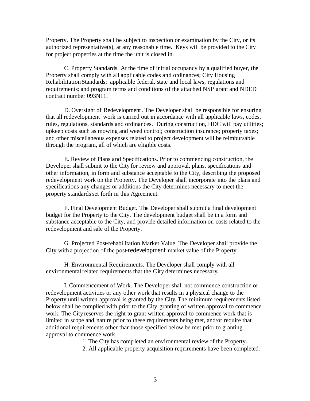Property. The Property shall be subject to inspection or examination by the City, or its authorized representative(s), at any reasonable time. Keys will be provided to the City for project properties at the time the unit is closed in.

C. Property Standards. At the time of initial occupancy by a qualified buyer, the Property shall comply with all applicable codes and ordinances; City Housing Rehabilitation Standards; applicable federal, state and local laws, regulations and requirements; and program terms and conditions of the attached NSP grant and NDED contract number 093N11.

D. Oversight of Redevelopment. The Developer shall be responsible for ensuring that all redevelopment work is carried out in accordance with all applicable laws, codes, rules, regulations, standards and ordinances. During construction, HDC will pay utilities; upkeep costs such as mowing and weed control; construction insurance; property taxes; and other miscellaneous expenses related to project development will be reimbursable through the program, all of which are eligible costs.

E. Review of Plans and Specifications. Prior to commencing construction, the Developer shall submit to the City for review and approval, plans, specifications and other information, in form and substance acceptable to the City, describing the proposed redevelopment work on the Property. The Developer shall incorporate into the plans and specifications any changes or additions the City determines necessary to meet the property standards set forth in this Agreement.

F. Final Development Budget. The Developer shall submit a final development budget for the Property to the City. The development budget shall be in a form and substance acceptable to the City, and provide detailed information on costs related to the redevelopment and sale of the Property.

G. Projected Post-rehabilitation Market Value. The Developer shall provide the City with a projection of the post-redevelopment market value of the Property.

H. Environmental Requirements. The Developer shall comply with all environmental related requirements that the City determines necessary.

I. Commencement of Work. The Developer shall not commence construction or redevelopment activities or any other work that results in a physical change to the Property until written approval is granted by the City. The minimum requirements listed below shall be complied with prior to the City granting of written approval to commence work. The City reserves the right to grant written approval to commence work that is limited in scope and nature prior to these requirements being met, and/or require that additional requirements other than those specified below be met prior to granting approval to commence work.

1. The City has completed an environmental review of the Property.

2. All applicable property acquisition requirements have been completed.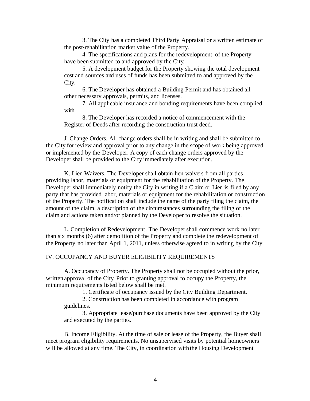3. The City has a completed Third Party Appraisal or a written estimate of the post-rehabilitation market value of the Property.

4. The specifications and plans for the redevelopment of the Property have been submitted to and approved by the City.

5. A development budget for the Property showing the total development cost and sources and uses of funds has been submitted to and approved by the City.

6. The Developer has obtained a Building Permit and has obtained all other necessary approvals, permits, and licenses.

7. All applicable insurance and bonding requirements have been complied with.

8. The Developer has recorded a notice of commencement with the Register of Deeds after recording the construction trust deed.

J. Change Orders. All change orders shall be in writing and shall be submitted to the City for review and approval prior to any change in the scope of work being approved or implemented by the Developer. A copy of each change orders approved by the Developer shall be provided to the City immediately after execution.

K. Lien Waivers. The Developer shall obtain lien waivers from all parties providing labor, materials or equipment for the rehabilitation of the Property. The Developer shall immediately notify the City in writing if a Claim or Lien is filed by any party that has provided labor, materials or equipment for the rehabilitation or construction of the Property. The notification shall include the name of the party filing the claim, the amount of the claim, a description of the circumstances surrounding the filing of the claim and actions taken and/or planned by the Developer to resolve the situation.

L. Completion of Redevelopment. The Developer shall commence work no later than six months (6) after demolition of the Property and complete the redevelopment of the Property no later than April 1, 2011, unless otherwise agreed to in writing by the City.

#### IV. OCCUPANCY AND BUYER ELIGIBILITY REQUIREMENTS

A. Occupancy of Property. The Property shall not be occupied without the prior, written approval of the City. Prior to granting approval to occupy the Property, the minimum requirements listed below shall be met.

1. Certificate of occupancy issued by the City Building Department.

2. Construction has been completed in accordance with program guidelines.

3. Appropriate lease/purchase documents have been approved by the City and executed by the parties.

B. Income Eligibility. At the time of sale or lease of the Property, the Buyer shall meet program eligibility requirements. No unsupervised visits by potential homeowners will be allowed at any time. The City, in coordination with the Housing Development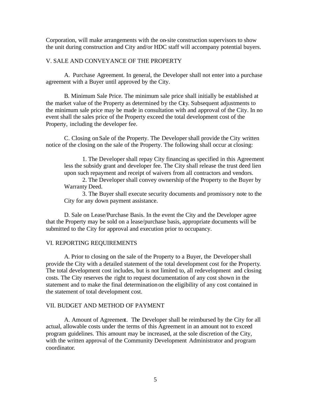Corporation, will make arrangements with the on-site construction supervisors to show the unit during construction and City and/or HDC staff will accompany potential buyers.

#### V. SALE AND CONVEYANCE OF THE PROPERTY

A. Purchase Agreement. In general, the Developer shall not enter into a purchase agreement with a Buyer until approved by the City.

B. Minimum Sale Price. The minimum sale price shall initially be established at the market value of the Property as determined by the City. Subsequent adjustments to the minimum sale price may be made in consultation with and approval of the City. In no event shall the sales price of the Property exceed the total development cost of the Property, including the developer fee.

C. Closing on Sale of the Property. The Developer shall provide the City written notice of the closing on the sale of the Property. The following shall occur at closing:

1. The Developer shall repay City financing as specified in this Agreement less the subsidy grant and developer fee. The City shall release the trust deed lien upon such repayment and receipt of waivers from all contractors and vendors.

2. The Developer shall convey ownership of the Property to the Buyer by Warranty Deed.

3. The Buyer shall execute security documents and promissory note to the City for any down payment assistance.

D. Sale on Lease/Purchase Basis. In the event the City and the Developer agree that the Property may be sold on a lease/purchase basis, appropriate documents will be submitted to the City for approval and execution prior to occupancy.

#### VI. REPORTING REQUIREMENTS

A. Prior to closing on the sale of the Property to a Buyer, the Developer shall provide the City with a detailed statement of the total development cost for the Property. The total development cost includes, but is not limited to, all redevelopment and closing costs. The City reserves the right to request documentation of any cost shown in the statement and to make the final determinationon the eligibility of any cost contained in the statement of total development cost.

#### VII. BUDGET AND METHOD OF PAYMENT

A. Amount of Agreement. The Developer shall be reimbursed by the City for all actual, allowable costs under the terms of this Agreement in an amount not to exceed program guidelines. This amount may be increased, at the sole discretion of the City, with the written approval of the Community Development Administrator and program coordinator.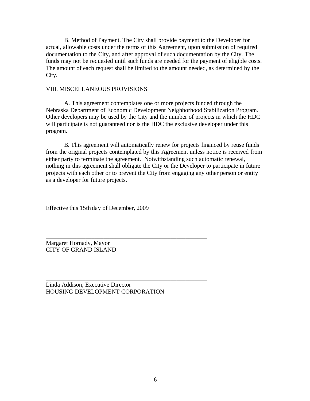B. Method of Payment. The City shall provide payment to the Developer for actual, allowable costs under the terms of this Agreement, upon submission of required documentation to the City, and after approval of such documentation by the City. The funds may not be requested until such funds are needed for the payment of eligible costs. The amount of each request shall be limited to the amount needed, as determined by the City.

#### VIII. MISCELLANEOUS PROVISIONS

A. This agreement contemplates one or more projects funded through the Nebraska Department of Economic Development Neighborhood Stabilization Program. Other developers may be used by the City and the number of projects in which the HDC will participate is not guaranteed nor is the HDC the exclusive developer under this program.

B. This agreement will automatically renew for projects financed by reuse funds from the original projects contemplated by this Agreement unless notice is received from either party to terminate the agreement. Notwithstanding such automatic renewal, nothing in this agreement shall obligate the City or the Developer to participate in future projects with each other or to prevent the City from engaging any other person or entity as a developer for future projects.

Effective this 15th day of December, 2009

Margaret Hornady, Mayor CITY OF GRAND ISLAND

Linda Addison, Executive Director HOUSING DEVELOPMENT CORPORATION

\_\_\_\_\_\_\_\_\_\_\_\_\_\_\_\_\_\_\_\_\_\_\_\_\_\_\_\_\_\_\_\_\_\_\_\_\_\_\_\_\_\_\_\_\_\_\_\_\_\_\_\_\_

\_\_\_\_\_\_\_\_\_\_\_\_\_\_\_\_\_\_\_\_\_\_\_\_\_\_\_\_\_\_\_\_\_\_\_\_\_\_\_\_\_\_\_\_\_\_\_\_\_\_\_\_\_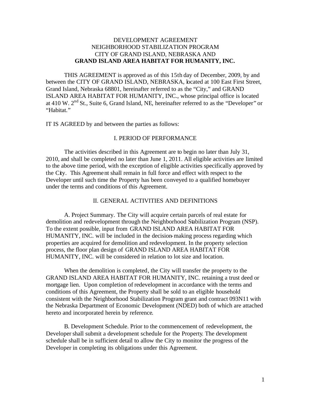#### DEVELOPMENT AGREEMENT NEIGHBORHOOD STABILIZATION PROGRAM CITY OF GRAND ISLAND, NEBRASKA AND **GRAND ISLAND AREA HABITAT FOR HUMANITY, INC.**

THIS AGREEMENT is approved as of this 15th day of December, 2009, by and between the CITY OF GRAND ISLAND, NEBRASKA, located at 100 East First Street, Grand Island, Nebraska 68801, hereinafter referred to as the "City," and GRAND ISLAND AREA HABITAT FOR HUMANITY, INC., whose principal office is located at 410 W.  $2<sup>nd</sup>$  St., Suite 6, Grand Island, NE, hereinafter referred to as the "Developer" or "Habitat."

IT IS AGREED by and between the parties as follows:

#### I. PERIOD OF PERFORMANCE

The activities described in this Agreement are to begin no later than July 31, 2010, and shall be completed no later than June 1, 2011. All eligible activities are limited to the above time period, with the exception of eligible activities specifically approved by the City. This Agreement shall remain in full force and effect with respect to the Developer until such time the Property has been conveyed to a qualified homebuyer under the terms and conditions of this Agreement.

#### II. GENERAL ACTIVITIES AND DEFINITIONS

A. Project Summary. The City will acquire certain parcels of real estate for demolition and redevelopment through the Neighborhood Stabilization Program (NSP). To the extent possible, input from GRAND ISLAND AREA HABITAT FOR HUMANITY, INC. will be included in the decision-making process regarding which properties are acquired for demolition and redevelopment. In the property selection process, the floor plan design of GRAND ISLAND AREA HABITAT FOR HUMANITY, INC. will be considered in relation to lot size and location.

When the demolition is completed, the City will transfer the property to the GRAND ISLAND AREA HABITAT FOR HUMANITY, INC. retaining a trust deed or mortgage lien. Upon completion of redevelopment in accordance with the terms and conditions of this Agreement, the Property shall be sold to an eligible household consistent with the Neighborhood Stabilization Program grant and contract 093N11 with the Nebraska Department of Economic Development (NDED) both of which are attached hereto and incorporated herein by reference.

B. Development Schedule. Prior to the commencement of redevelopment, the Developershall submit a development schedule for the Property. The development schedule shall be in sufficient detail to allow the City to monitor the progress of the Developer in completing its obligations under this Agreement.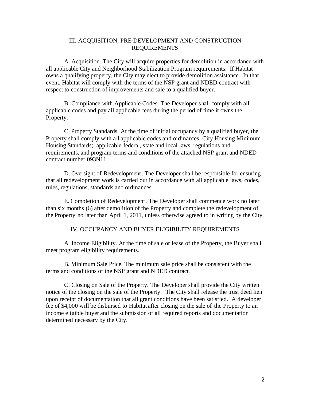#### III. ACQUISITION, PRE-DEVELOPMENT AND CONSTRUCTION REQUIREMENTS

A. Acquisition. The City will acquire properties for demolition in accordance with all applicable City and Neighborhood Stabilization Program requirements. If Habitat owns a qualifying property, the City may elect to provide demolition assistance. In that event, Habitat will comply with the terms of the NSP grant and NDED contract with respect to construction of improvements and sale to a qualified buyer.

B. Compliance with Applicable Codes. The Developer shall comply with all applicable codes and pay all applicable fees during the period of time it owns the Property.

C. Property Standards. At the time of initial occupancy by a qualified buyer, the Property shall comply with all applicable codes and ordinances; City Housing Minimum Housing Standards; applicable federal, state and local laws, regulations and requirements; and program terms and conditions of the attached NSP grant and NDED contract number 093N11.

D. Oversight of Redevelopment. The Developer shall be responsible for ensuring that all redevelopment work is carried out in accordance with all applicable laws, codes, rules, regulations, standards and ordinances.

E. Completion of Redevelopment. The Developer shall commence work no later than six months (6) after demolition of the Property and complete the redevelopment of the Property no later than April 1, 2011, unless otherwise agreed to in writing by the City.

IV. OCCUPANCY AND BUYER ELIGIBILITY REQUIREMENTS

A. Income Eligibility. At the time of sale or lease of the Property, the Buyer shall meet program eligibility requirements.

B. Minimum Sale Price. The minimum sale price shall be consistent with the terms and conditions of the NSP grant and NDED contract.

C. Closing on Sale of the Property. The Developer shall provide the City written notice of the closing on the sale of the Property. The City shall release the trust deed lien upon receipt of documentation that all grant conditions have been satisfied. A developer fee of \$4,000 will be disbursed to Habitat after closing on the sale of the Property to an income eligible buyer and the submission of all required reports and documentation determined necessary by the City.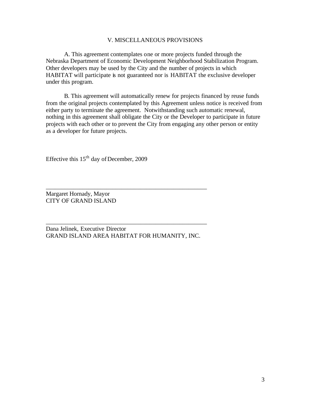#### V. MISCELLANEOUS PROVISIONS

A. This agreement contemplates one or more projects funded through the Nebraska Department of Economic Development Neighborhood Stabilization Program. Other developers may be used by the City and the number of projects in which HABITAT will participate is not guaranteed nor is HABITAT the exclusive developer under this program.

B. This agreement will automatically renew for projects financed by reuse funds from the original projects contemplated by this Agreement unless notice is received from either party to terminate the agreement. Notwithstanding such automatic renewal, nothing in this agreement shall obligate the City or the Developer to participate in future projects with each other or to prevent the City from engaging any other person or entity as a developer for future projects.

Effective this 15th day of December, 2009

Margaret Hornady, Mayor CITY OF GRAND ISLAND

Dana Jelinek, Executive Director GRAND ISLAND AREA HABITAT FOR HUMANITY, INC.

\_\_\_\_\_\_\_\_\_\_\_\_\_\_\_\_\_\_\_\_\_\_\_\_\_\_\_\_\_\_\_\_\_\_\_\_\_\_\_\_\_\_\_\_\_\_\_\_\_\_\_\_\_

\_\_\_\_\_\_\_\_\_\_\_\_\_\_\_\_\_\_\_\_\_\_\_\_\_\_\_\_\_\_\_\_\_\_\_\_\_\_\_\_\_\_\_\_\_\_\_\_\_\_\_\_\_